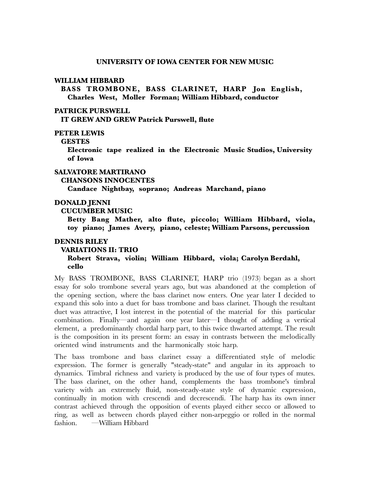### **WILLIAM HIBBARD**

**BASS TROMBONE, BASS CLARINET, HARP Jon English, Charles West, Moller Forman; William Hibbard, conductor**

## **PATRICK PURSWELL**

**IT GREW AND GREW Patrick Purswell, flute**

# **PETER LEWIS**

#### **GESTES**

**Electronic tape realized in the Electronic Music Studios, University of Iowa**

## **SALVATORE MARTIRANO**

### **CHANSONS INNOCENTES**

**Candace Nightbay, soprano; Andreas Marchand, piano**

## **DONALD JENNI**

## **CUCUMBER MUSIC**

**Betty Bang Mather, alto flute, piccolo; William Hibbard, viola, toy piano; James Avery, piano, celeste; William Parsons, percussion**

#### **DENNIS RILEY**

#### **VARIATIONS II: TRIO**

**Robert Strava, violin; William Hibbard, viola; Carolyn Berdahl, cello**

My BASS TROMBONE, BASS CLARINET, HARP trio (1973) began as a short essay for solo trombone several years ago, but was abandoned at the completion of the opening section, where the bass clarinet now enters. One year later I decided to expand this solo into a duet for bass trombone and bass clarinet. Though the resultant duet was attractive, I lost interest in the potential of the material for this particular combination. Finally—and again one year later—I thought of adding a vertical element, a predominantly chordal harp part, to this twice thwarted attempt. The result is the composition in its present form: an essay in contrasts between the melodically oriented wind instruments and the harmonically stoic harp.

The bass trombone and bass clarinet essay a differentiated style of melodic expression. The former is generally "steady-state" and angular in its approach to dynamics. Timbral richness and variety is produced by the use of four types of mutes. The bass clarinet, on the other hand, complements the bass trombone's timbral variety with an extremely fluid, non-steady-state style of dynamic expression, continually in motion with crescendi and decrescendi. The harp has its own inner contrast achieved through the opposition of events played either secco or allowed to ring, as well as between chords played either non-arpeggio or rolled in the normal fashion. —William Hibbard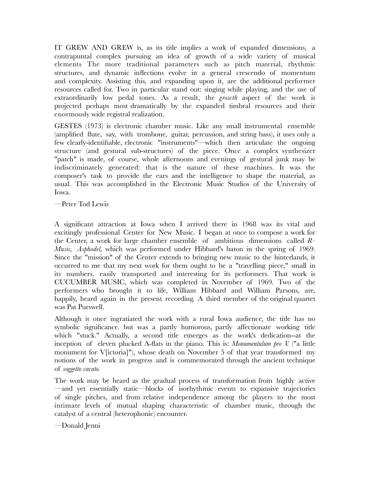IT GREW AND GREW is, as its title implies a work of expanded dimensions, a contrapuntal complex pursuing an idea of growth of a wide variety of musical elements The more traditional parameters such as pitch material, rhythmic structures, and dynamic inflections evolve in a general crescendo of momentum and complexity. Assisting this, and expanding upon it, are the additional performer resources called for. Two in particular stand out: singing while playing, and the use of extraordinarily low pedal tones. As a result, the *growth* aspect of the work is projected perhaps most dramatically by the expanded timbral resources and their enormously wide registral realization.

GESTES (1973) is electronic chamber music. Like any small instrumental ensemble (amplified flute, say, with trombone, guitar, percussion, and string bass), it uses only a few clearly-identifiable, electronic "instruments"—which then articulate the ongoing structure (and gestural sub-structures) of the piece. Once a complex synthesizer "patch" is made, of course, whole afternoons and evenings of gestural junk may be indiscriminately generated: that is the nature of these machines. It was the composer's task to provide the ears and the intelligence to shape the material, as usual. This was accomplished in the Electronic Music Studios of the University of Iowa.

—Peter Tod Lewis

A significant attraction at Iowa when I arrived there in 1968 was its vital and excitingly professional Center for New Music. I began at once to compose a work for the Center, a work for large chamber ensemble of ambitious dimensions called *R-Music, Asphodel,* which was performed under Hibbard's baton in the spring of 1969. Since the "mission" of the Center extends to bringing new music to the hinterlands, it occurred to me that my next work for them ought to be a "travelling piece," small in its numbers. easily transported and interesting for its performers. That work is CUCUMBER MUSIC, which was completed in November of 1969. Two of the performers who brought it to life, William Hibbard and William Parsons, are, happily, heard again in the present recording. A third member of the original quartet was Pat Purswell.

Although it once ingratiated the work with a rural Iowa audience, the title has no symbolic significance. but was a partly humorous, partly affectionate working title which "stuck." Actually, a second title emerges as the work's dedication--at the inception of eleven plucked A-flats in the piano. This is: *Monumentulum pro V.* ("a little monument for V[ictoria]"), whose death on November 5 of that year transformed my notions of the work in progress and is commemorated through the ancient technique of *soggetto cavato.*

The work may be heard as the gradual process of transformation from highly active —and yet essentially static—blocks of isorhythmic events to expansive trajectories of single pitches, and from relative independence among the players to the most intimate levels of mutual shaping characteristic of chamber music, through the catalyst of a central (heterophonic) encounter.

—Donald Jenni